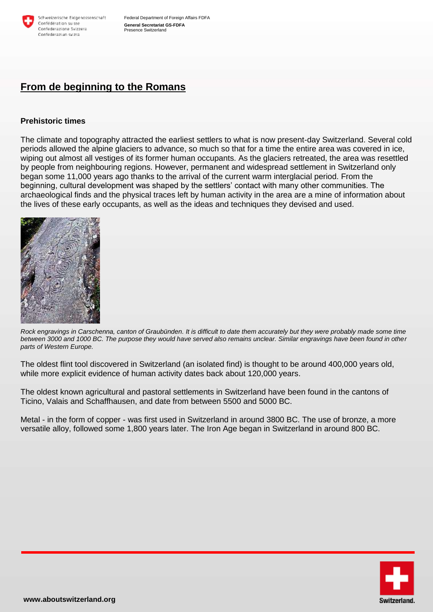

# **From de beginning to the Romans**

## **Prehistoric times**

The climate and topography attracted the earliest settlers to what is now present-day Switzerland. Several cold periods allowed the alpine glaciers to advance, so much so that for a time the entire area was covered in ice, wiping out almost all vestiges of its former human occupants. As the glaciers retreated, the area was resettled by people from neighbouring regions. However, permanent and widespread settlement in Switzerland only began some 11,000 years ago thanks to the arrival of the current warm interglacial period. From the beginning, cultural development was shaped by the settlers' contact with many other communities. The archaeological finds and the physical traces left by human activity in the area are a mine of information about the lives of these early occupants, as well as the ideas and techniques they devised and used.



*Rock engravings in Carschenna, canton of Graubünden. It is difficult to date them accurately but they were probably made some time between 3000 and 1000 BC. The purpose they would have served also remains unclear. Similar engravings have been found in other parts of Western Europe.*

The oldest flint tool discovered in Switzerland (an isolated find) is thought to be around 400,000 years old, while more explicit evidence of human activity dates back about 120,000 years.

The oldest known agricultural and pastoral settlements in Switzerland have been found in the cantons of Ticino, Valais and Schaffhausen, and date from between 5500 and 5000 BC.

Metal - in the form of copper - was first used in Switzerland in around 3800 BC. The use of bronze, a more versatile alloy, followed some 1,800 years later. The Iron Age began in Switzerland in around 800 BC.

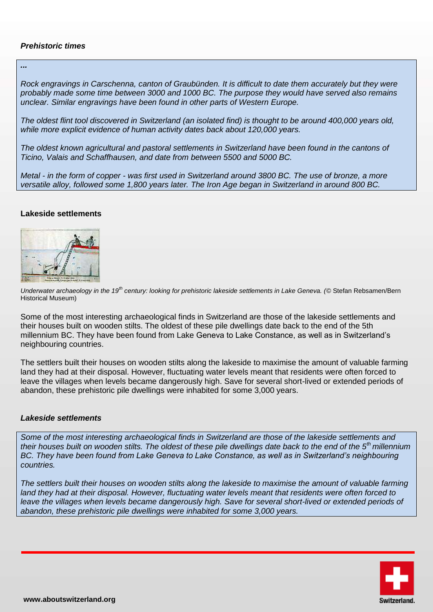# *Prehistoric times*

*...* 

*Rock engravings in Carschenna, canton of Graubünden. It is difficult to date them accurately but they were probably made some time between 3000 and 1000 BC. The purpose they would have served also remains unclear. Similar engravings have been found in other parts of Western Europe.* 

*The oldest flint tool discovered in Switzerland (an isolated find) is thought to be around 400,000 years old, while more explicit evidence of human activity dates back about 120,000 years.* 

*The oldest known agricultural and pastoral settlements in Switzerland have been found in the cantons of Ticino, Valais and Schaffhausen, and date from between 5500 and 5000 BC.* 

*Metal - in the form of copper - was first used in Switzerland around 3800 BC. The use of bronze, a more versatile alloy, followed some 1,800 years later. The Iron Age began in Switzerland in around 800 BC.* 

#### **Lakeside settlements**



*Underwater archaeology in the 19th century: looking for prehistoric lakeside settlements in Lake Geneva. (*© Stefan Rebsamen/Bern Historical Museum)

Some of the most interesting archaeological finds in Switzerland are those of the lakeside settlements and their houses built on wooden stilts. The oldest of these pile dwellings date back to the end of the 5th millennium BC. They have been found from Lake Geneva to Lake Constance, as well as in Switzerland's neighbouring countries.

The settlers built their houses on wooden stilts along the lakeside to maximise the amount of valuable farming land they had at their disposal. However, fluctuating water levels meant that residents were often forced to leave the villages when levels became dangerously high. Save for several short-lived or extended periods of abandon, these prehistoric pile dwellings were inhabited for some 3,000 years.

#### *Lakeside settlements*

*Some of the most interesting archaeological finds in Switzerland are those of the lakeside settlements and their houses built on wooden stilts. The oldest of these pile dwellings date back to the end of the 5th millennium BC. They have been found from Lake Geneva to Lake Constance, as well as in Switzerland's neighbouring countries.* 

*The settlers built their houses on wooden stilts along the lakeside to maximise the amount of valuable farming land they had at their disposal. However, fluctuating water levels meant that residents were often forced to*  leave the villages when levels became dangerously high. Save for several short-lived or extended periods of *abandon, these prehistoric pile dwellings were inhabited for some 3,000 years.*

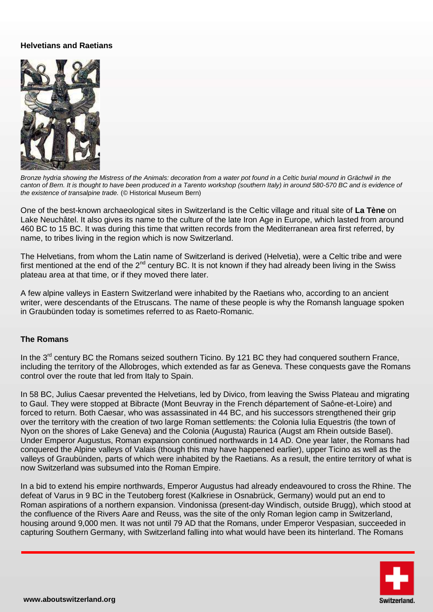## **Helvetians and Raetians**



*Bronze hydria showing the Mistress of the Animals: decoration from a water pot found in a Celtic burial mound in Grächwil in the canton of Bern. It is thought to have been produced in a Tarento workshop (southern Italy) in around 580-570 BC and is evidence of the existence of transalpine trade.* (© Historical Museum Bern)

One of the best-known archaeological sites in Switzerland is the Celtic village and ritual site of **La Tène** on Lake Neuchâtel. It also gives its name to the culture of the late Iron Age in Europe, which lasted from around 460 BC to 15 BC. It was during this time that written records from the Mediterranean area first referred, by name, to tribes living in the region which is now Switzerland.

The Helvetians, from whom the Latin name of Switzerland is derived (Helvetia), were a Celtic tribe and were first mentioned at the end of the  $2^{nd}$  century BC. It is not known if they had already been living in the Swiss plateau area at that time, or if they moved there later.

A few alpine valleys in Eastern Switzerland were inhabited by the Raetians who, according to an ancient writer, were descendants of the Etruscans. The name of these people is why the Romansh language spoken in Graubünden today is sometimes referred to as Raeto-Romanic.

#### **The Romans**

In the  $3<sup>rd</sup>$  century BC the Romans seized southern Ticino. By 121 BC they had conquered southern France, including the territory of the Allobroges, which extended as far as Geneva. These conquests gave the Romans control over the route that led from Italy to Spain.

In 58 BC, Julius Caesar prevented the Helvetians, led by Divico, from leaving the Swiss Plateau and migrating to Gaul. They were stopped at Bibracte (Mont Beuvray in the French département of Saône-et-Loire) and forced to return. Both Caesar, who was assassinated in 44 BC, and his successors strengthened their grip over the territory with the creation of two large Roman settlements: the Colonia Iulia Equestris (the town of Nyon on the shores of Lake Geneva) and the Colonia (Augusta) Raurica (Augst am Rhein outside Basel). Under Emperor Augustus, Roman expansion continued northwards in 14 AD. One year later, the Romans had conquered the Alpine valleys of Valais (though this may have happened earlier), upper Ticino as well as the valleys of Graubünden, parts of which were inhabited by the Raetians. As a result, the entire territory of what is now Switzerland was subsumed into the Roman Empire.

In a bid to extend his empire northwards, Emperor Augustus had already endeavoured to cross the Rhine. The defeat of Varus in 9 BC in the Teutoberg forest (Kalkriese in Osnabrück, Germany) would put an end to Roman aspirations of a northern expansion. Vindonissa (present-day Windisch, outside Brugg), which stood at the confluence of the Rivers Aare and Reuss, was the site of the only Roman legion camp in Switzerland, housing around 9,000 men. It was not until 79 AD that the Romans, under Emperor Vespasian, succeeded in capturing Southern Germany, with Switzerland falling into what would have been its hinterland. The Romans

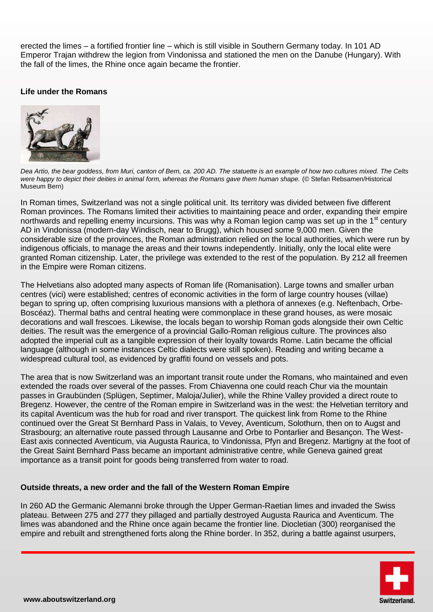erected the limes – a fortified frontier line – which is still visible in Southern Germany today. In 101 AD Emperor Trajan withdrew the legion from Vindonissa and stationed the men on the Danube (Hungary). With the fall of the limes, the Rhine once again became the frontier.

# **Life under the Romans**



*Dea Artio, the bear goddess, from Muri, canton of Bern, ca. 200 AD. The statuette is an example of how two cultures mixed. The Celts were happy to depict their deities in animal form, whereas the Romans gave them human shape.* (© Stefan Rebsamen/Historical Museum Bern)

In Roman times, Switzerland was not a single political unit. Its territory was divided between five different Roman provinces. The Romans limited their activities to maintaining peace and order, expanding their empire northwards and repelling enemy incursions. This was why a Roman legion camp was set up in the 1<sup>st</sup> century AD in Vindonissa (modern-day Windisch, near to Brugg), which housed some 9,000 men. Given the considerable size of the provinces, the Roman administration relied on the local authorities, which were run by indigenous officials, to manage the areas and their towns independently. Initially, only the local elite were granted Roman citizenship. Later, the privilege was extended to the rest of the population. By 212 all freemen in the Empire were Roman citizens.

The Helvetians also adopted many aspects of Roman life (Romanisation). Large towns and smaller urban centres (vici) were established; centres of economic activities in the form of large country houses (villae) began to spring up, often comprising luxurious mansions with a plethora of annexes (e.g. Neftenbach, Orbe-Boscéaz). Thermal baths and central heating were commonplace in these grand houses, as were mosaic decorations and wall frescoes. Likewise, the locals began to worship Roman gods alongside their own Celtic deities. The result was the emergence of a provincial Gallo-Roman religious culture. The provinces also adopted the imperial cult as a tangible expression of their loyalty towards Rome. Latin became the official language (although in some instances Celtic dialects were still spoken). Reading and writing became a widespread cultural tool, as evidenced by graffiti found on vessels and pots.

The area that is now Switzerland was an important transit route under the Romans, who maintained and even extended the roads over several of the passes. From Chiavenna one could reach Chur via the mountain passes in Graubünden (Splügen, Septimer, Maloja/Julier), while the Rhine Valley provided a direct route to Bregenz. However, the centre of the Roman empire in Switzerland was in the west: the Helvetian territory and its capital Aventicum was the hub for road and river transport. The quickest link from Rome to the Rhine continued over the Great St Bernhard Pass in Valais, to Vevey, Aventicum, Solothurn, then on to Augst and Strasbourg; an alternative route passed through Lausanne and Orbe to Pontarlier and Besançon. The West-East axis connected Aventicum, via Augusta Raurica, to Vindonissa, Pfyn and Bregenz. Martigny at the foot of the Great Saint Bernhard Pass became an important administrative centre, while Geneva gained great importance as a transit point for goods being transferred from water to road.

#### **Outside threats, a new order and the fall of the Western Roman Empire**

In 260 AD the Germanic Alemanni broke through the Upper German-Raetian limes and invaded the Swiss plateau. Between 275 and 277 they pillaged and partially destroyed Augusta Raurica and Aventicum. The limes was abandoned and the Rhine once again became the frontier line. Diocletian (300) reorganised the empire and rebuilt and strengthened forts along the Rhine border. In 352, during a battle against usurpers,